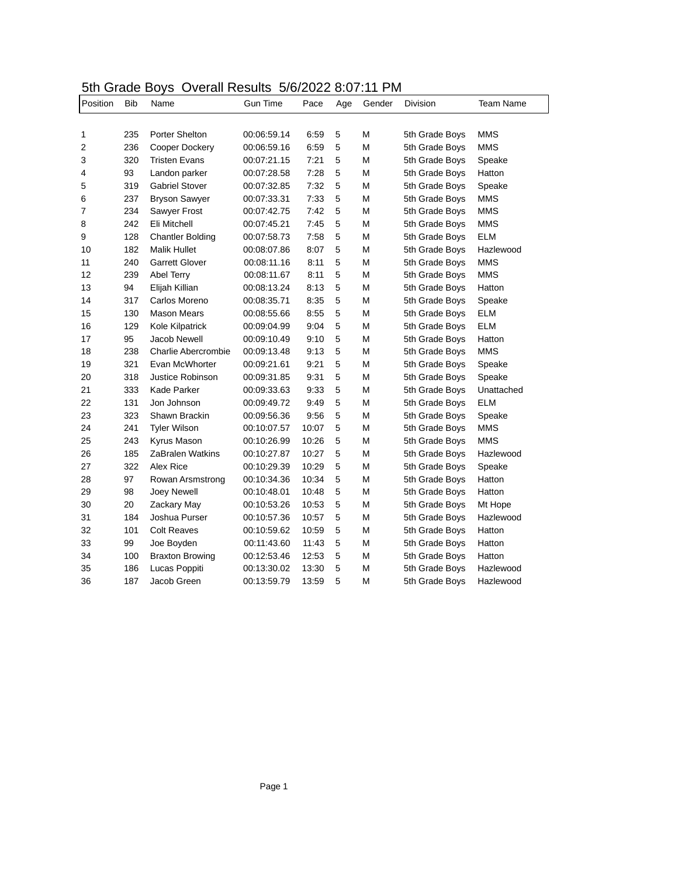## 5th Grade Boys Overall Results 5/6/2022 8:07:11 PM

| Position | Bib | Name                       | <b>Gun Time</b> | Pace  | Age | Gender | Division       | Team Name  |
|----------|-----|----------------------------|-----------------|-------|-----|--------|----------------|------------|
|          |     |                            |                 |       |     |        |                |            |
| 1        | 235 | Porter Shelton             | 00:06:59.14     | 6:59  | 5   | M      | 5th Grade Boys | MMS        |
| 2        | 236 | Cooper Dockery             | 00:06:59.16     | 6:59  | 5   | М      | 5th Grade Boys | <b>MMS</b> |
| 3        | 320 | <b>Tristen Evans</b>       | 00:07:21.15     | 7:21  | 5   | М      | 5th Grade Boys | Speake     |
| 4        | 93  | Landon parker              | 00:07:28.58     | 7:28  | 5   | M      | 5th Grade Boys | Hatton     |
| 5        | 319 | <b>Gabriel Stover</b>      | 00:07:32.85     | 7:32  | 5   | М      | 5th Grade Boys | Speake     |
| 6        | 237 | <b>Bryson Sawyer</b>       | 00:07:33.31     | 7:33  | 5   | М      | 5th Grade Boys | <b>MMS</b> |
| 7        | 234 | Sawyer Frost               | 00:07:42.75     | 7:42  | 5   | M      | 5th Grade Boys | <b>MMS</b> |
| 8        | 242 | Eli Mitchell               | 00:07:45.21     | 7:45  | 5   | M      | 5th Grade Boys | <b>MMS</b> |
| 9        | 128 | <b>Chantler Bolding</b>    | 00:07:58.73     | 7:58  | 5   | М      | 5th Grade Boys | <b>ELM</b> |
| 10       | 182 | <b>Malik Hullet</b>        | 00:08:07.86     | 8:07  | 5   | M      | 5th Grade Boys | Hazlewood  |
| 11       | 240 | Garrett Glover             | 00:08:11.16     | 8:11  | 5   | M      | 5th Grade Boys | <b>MMS</b> |
| 12       | 239 | Abel Terry                 | 00:08:11.67     | 8:11  | 5   | М      | 5th Grade Boys | <b>MMS</b> |
| 13       | 94  | Elijah Killian             | 00:08:13.24     | 8:13  | 5   | М      | 5th Grade Boys | Hatton     |
| 14       | 317 | Carlos Moreno              | 00:08:35.71     | 8:35  | 5   | М      | 5th Grade Boys | Speake     |
| 15       | 130 | Mason Mears                | 00:08:55.66     | 8:55  | 5   | М      | 5th Grade Boys | ELM        |
| 16       | 129 | Kole Kilpatrick            | 00:09:04.99     | 9:04  | 5   | М      | 5th Grade Boys | <b>ELM</b> |
| 17       | 95  | Jacob Newell               | 00:09:10.49     | 9:10  | 5   | М      | 5th Grade Boys | Hatton     |
| 18       | 238 | <b>Charlie Abercrombie</b> | 00:09:13.48     | 9:13  | 5   | М      | 5th Grade Boys | <b>MMS</b> |
| 19       | 321 | Evan McWhorter             | 00:09:21.61     | 9:21  | 5   | М      | 5th Grade Boys | Speake     |
| 20       | 318 | Justice Robinson           | 00:09:31.85     | 9:31  | 5   | М      | 5th Grade Boys | Speake     |
| 21       | 333 | Kade Parker                | 00:09:33.63     | 9:33  | 5   | М      | 5th Grade Boys | Unattached |
| 22       | 131 | Jon Johnson                | 00:09:49.72     | 9:49  | 5   | М      | 5th Grade Boys | <b>ELM</b> |
| 23       | 323 | Shawn Brackin              | 00:09:56.36     | 9:56  | 5   | М      | 5th Grade Boys | Speake     |
| 24       | 241 | <b>Tyler Wilson</b>        | 00:10:07.57     | 10:07 | 5   | М      | 5th Grade Boys | <b>MMS</b> |
| 25       | 243 | Kyrus Mason                | 00:10:26.99     | 10:26 | 5   | М      | 5th Grade Boys | <b>MMS</b> |
| 26       | 185 | ZaBralen Watkins           | 00:10:27.87     | 10:27 | 5   | М      | 5th Grade Boys | Hazlewood  |
| 27       | 322 | Alex Rice                  | 00:10:29.39     | 10:29 | 5   | М      | 5th Grade Boys | Speake     |
| 28       | 97  | Rowan Arsmstrong           | 00:10:34.36     | 10:34 | 5   | М      | 5th Grade Boys | Hatton     |
| 29       | 98  | Joey Newell                | 00:10:48.01     | 10:48 | 5   | М      | 5th Grade Boys | Hatton     |
| 30       | 20  | Zackary May                | 00:10:53.26     | 10:53 | 5   | М      | 5th Grade Boys | Mt Hope    |
| 31       | 184 | Joshua Purser              | 00:10:57.36     | 10:57 | 5   | М      | 5th Grade Boys | Hazlewood  |
| 32       | 101 | <b>Colt Reaves</b>         | 00:10:59.62     | 10:59 | 5   | M      | 5th Grade Boys | Hatton     |
| 33       | 99  | Joe Boyden                 | 00:11:43.60     | 11:43 | 5   | М      | 5th Grade Boys | Hatton     |
| 34       | 100 | <b>Braxton Browing</b>     | 00:12:53.46     | 12:53 | 5   | М      | 5th Grade Boys | Hatton     |
| 35       | 186 | Lucas Poppiti              | 00:13:30.02     | 13:30 | 5   | М      | 5th Grade Boys | Hazlewood  |
| 36       | 187 | Jacob Green                | 00:13:59.79     | 13:59 | 5   | M      | 5th Grade Boys | Hazlewood  |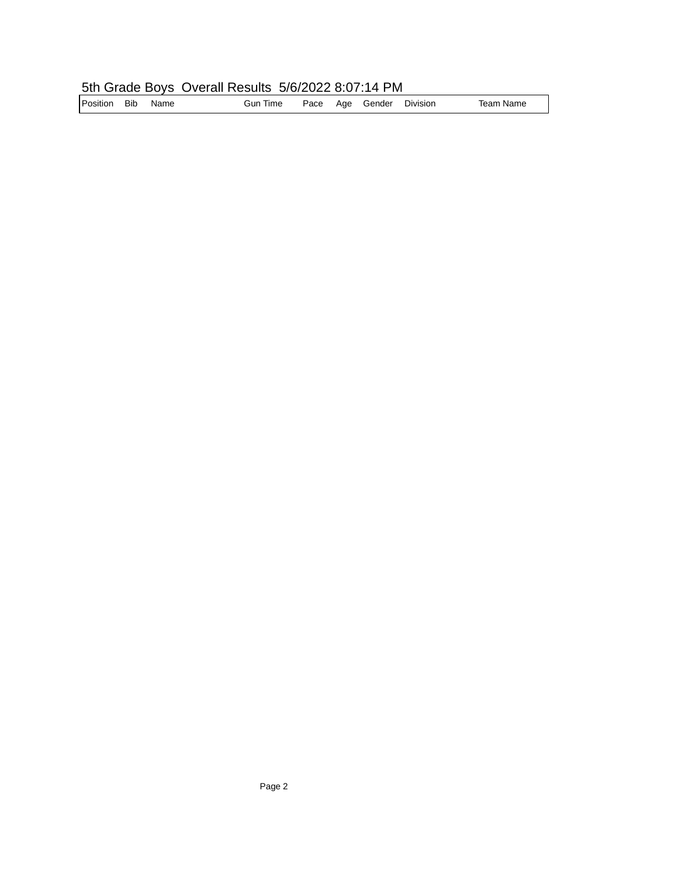## 5th Grade Boys Overall Results 5/6/2022 8:07:14 PM

| Position | <b>Bib</b> | Name | Gun Time | Pace |  | Age Gender | Division | Team Name |
|----------|------------|------|----------|------|--|------------|----------|-----------|
|----------|------------|------|----------|------|--|------------|----------|-----------|